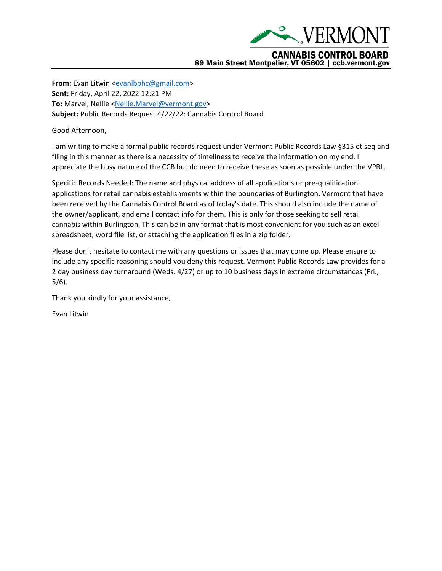

**From:** Evan Litwin [<evanlbphc@gmail.com>](mailto:evanlbphc@gmail.com) **Sent:** Friday, April 22, 2022 12:21 PM **To:** Marvel, Nellie [<Nellie.Marvel@vermont.gov>](mailto:Nellie.Marvel@vermont.gov) **Subject:** Public Records Request 4/22/22: Cannabis Control Board

Good Afternoon,

I am writing to make a formal public records request under Vermont Public Records Law §315 et seq and filing in this manner as there is a necessity of timeliness to receive the information on my end. I appreciate the busy nature of the CCB but do need to receive these as soon as possible under the VPRL.

Specific Records Needed: The name and physical address of all applications or pre-qualification applications for retail cannabis establishments within the boundaries of Burlington, Vermont that have been received by the Cannabis Control Board as of today's date. This should also include the name of the owner/applicant, and email contact info for them. This is only for those seeking to sell retail cannabis within Burlington. This can be in any format that is most convenient for you such as an excel spreadsheet, word file list, or attaching the application files in a zip folder.

Please don't hesitate to contact me with any questions or issues that may come up. Please ensure to include any specific reasoning should you deny this request. Vermont Public Records Law provides for a 2 day business day turnaround (Weds. 4/27) or up to 10 business days in extreme circumstances (Fri., 5/6).

Thank you kindly for your assistance,

Evan Litwin